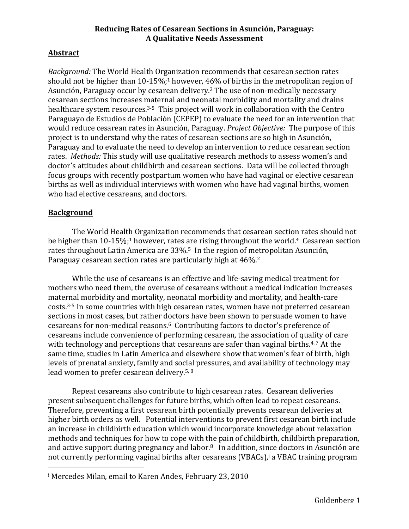## **Reducing Rates of Cesarean Sections in Asunción, Paraguay: A Qualitative Needs Assessment**

# **Abstract**

*Background:* The World Health Organization recommends that cesarean section rates should not be higher than 10-15%;<sup>1</sup> however,  $46\%$  of births in the metropolitan region of Asunción, Paraguay occur by cesarean delivery.<sup>2</sup> The use of non-medically necessary cesarean sections increases maternal and neonatal morbidity and mortality and drains healthcare system resources. $3-5$  This project will work in collaboration with the Centro Paraguayo de Estudios de Población (CEPEP) to evaluate the need for an intervention that would reduce cesarean rates in Asunción, Paraguay. *Project Objective:* The purpose of this project is to understand why the rates of cesarean sections are so high in Asunción, Paraguay and to evaluate the need to develop an intervention to reduce cesarean section rates. *Methods:* This study will use qualitative research methods to assess women's and doctor's attitudes about childbirth and cesarean sections. Data will be collected through focus groups with recently postpartum women who have had vaginal or elective cesarean births as well as individual interviews with women who have had vaginal births, women who had elective cesareans, and doctors.

# **Background**

The World Health Organization recommends that cesarean section rates should not be higher than  $10-15\%$ ;<sup>1</sup> however, rates are rising throughout the world.<sup>4</sup> Cesarean section rates throughout Latin America are  $33\%$ <sup>5</sup> In the region of metropolitan Asunción, Paraguay cesarean section rates are particularly high at 46%.<sup>2</sup>

While the use of cesareans is an effective and life-saving medical treatment for mothers who need them, the overuse of cesareans without a medical indication increases maternal morbidity and mortality, neonatal morbidity and mortality, and health-care costs.<sup>3-5</sup> In some countries with high cesarean rates, women have not preferred cesarean sections in most cases, but rather doctors have been shown to persuade women to have cesareans for non-medical reasons.<sup>6</sup> Contributing factors to doctor's preference of cesareans include convenience of performing cesarean, the association of quality of care with technology and perceptions that cesareans are safer than vaginal births. $4,7$  At the same time, studies in Latin America and elsewhere show that women's fear of birth, high levels of prenatal anxiety, family and social pressures, and availability of technology may lead women to prefer cesarean delivery.<sup>5, 8</sup>

Repeat cesareans also contribute to high cesarean rates. Cesarean deliveries present subsequent challenges for future births, which often lead to repeat cesareans. Therefore, preventing a first cesarean birth potentially prevents cesarean deliveries at higher birth orders as well. Potential interventions to prevent first cesarean birth include an increase in childbirth education which would incorporate knowledge about relaxation methods and techniques for how to cope with the pain of childbirth, childbirth preparation, and active support during pregnancy and labor.<sup>8</sup> In addition, since doctors in Asunción are not currently performing vaginal births after cesareans (VBACs),<sup>i</sup> a VBAC training program

 

<sup>&</sup>lt;sup>i</sup> Mercedes Milan, email to Karen Andes, February 23, 2010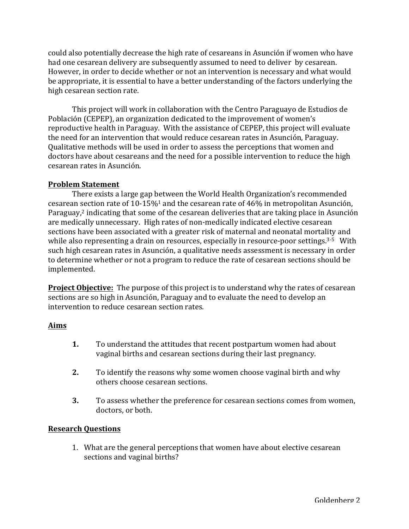could also potentially decrease the high rate of cesareans in Asunción if women who have had one cesarean delivery are subsequently assumed to need to deliver by cesarean. However, in order to decide whether or not an intervention is necessary and what would be appropriate, it is essential to have a better understanding of the factors underlying the high cesarean section rate.

This project will work in collaboration with the Centro Paraguayo de Estudios de Población (CEPEP), an organization dedicated to the improvement of women's reproductive health in Paraguay. With the assistance of CEPEP, this project will evaluate the need for an intervention that would reduce cesarean rates in Asunción, Paraguay. Qualitative methods will be used in order to assess the perceptions that women and doctors have about cesareans and the need for a possible intervention to reduce the high cesarean rates in Asunción.

### **Problem Statement**

There exists a large gap between the World Health Organization's recommended cesarean section rate of  $10-15\%$ <sup>1</sup> and the cesarean rate of 46% in metropolitan Asunción, Paraguay,<sup>2</sup> indicating that some of the cesarean deliveries that are taking place in Asunción are medically unnecessary. High rates of non-medically indicated elective cesarean sections have been associated with a greater risk of maternal and neonatal mortality and while also representing a drain on resources, especially in resource-poor settings.<sup>3-5</sup> With such high cesarean rates in Asunción, a qualitative needs assessment is necessary in order to determine whether or not a program to reduce the rate of cesarean sections should be implemented.

**Project Objective:** The purpose of this project is to understand why the rates of cesarean sections are so high in Asunción, Paraguay and to evaluate the need to develop an intervention to reduce cesarean section rates.

#### **Aims**

- **1.** To understand the attitudes that recent postpartum women had about vaginal births and cesarean sections during their last pregnancy.
- **2.** To identify the reasons why some women choose vaginal birth and why others choose cesarean sections.
- **3.** To assess whether the preference for cesarean sections comes from women, doctors, or both.

## **Research Questions**

1. What are the general perceptions that women have about elective cesarean sections and vaginal births?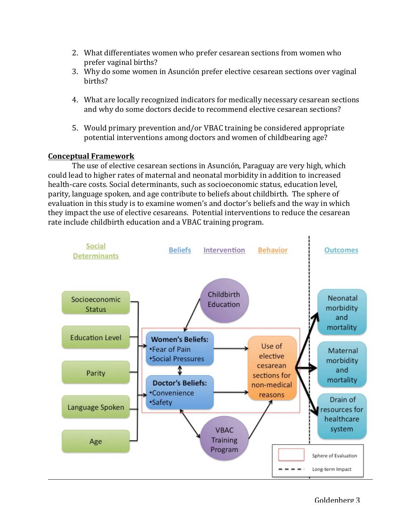- 2. What differentiates women who prefer cesarean sections from women who prefer vaginal births?
- 3. Why do some women in Asunción prefer elective cesarean sections over vaginal births?
- 4. What are locally recognized indicators for medically necessary cesarean sections and why do some doctors decide to recommend elective cesarean sections?
- 5. Would primary prevention and/or VBAC training be considered appropriate potential interventions among doctors and women of childbearing age?

# **Conceptual Framework**

The use of elective cesarean sections in Asunción, Paraguay are very high, which could lead to higher rates of maternal and neonatal morbidity in addition to increased health-care costs. Social determinants, such as socioeconomic status, education level, parity, language spoken, and age contribute to beliefs about childbirth. The sphere of evaluation in this study is to examine women's and doctor's beliefs and the way in which they impact the use of elective cesareans. Potential interventions to reduce the cesarean rate include childbirth education and a VBAC training program.

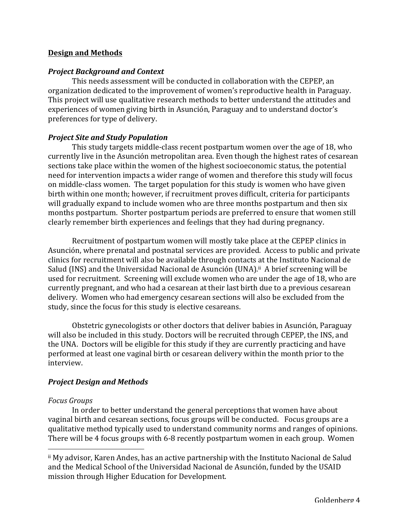### **Design and Methods**

#### *Project Background and Context*

This needs assessment will be conducted in collaboration with the CEPEP, an organization dedicated to the improvement of women's reproductive health in Paraguay. This project will use qualitative research methods to better understand the attitudes and experiences of women giving birth in Asunción, Paraguay and to understand doctor's preferences for type of delivery.

## *Project Site and Study Population*

This study targets middle-class recent postpartum women over the age of 18, who currently live in the Asunción metropolitan area. Even though the highest rates of cesarean sections take place within the women of the highest socioeconomic status, the potential need for intervention impacts a wider range of women and therefore this study will focus on middle-class women. The target population for this study is women who have given birth within one month; however, if recruitment proves difficult, criteria for participants will gradually expand to include women who are three months postpartum and then six months postpartum. Shorter postpartum periods are preferred to ensure that women still clearly remember birth experiences and feelings that they had during pregnancy.

Recruitment of postpartum women will mostly take place at the CEPEP clinics in Asunción, where prenatal and postnatal services are provided. Access to public and private clinics for recruitment will also be available through contacts at the Instituto Nacional de Salud (INS) and the Universidad Nacional de Asunción (UNA).<sup>ii</sup> A brief screening will be used for recruitment. Screening will exclude women who are under the age of 18, who are currently pregnant, and who had a cesarean at their last birth due to a previous cesarean delivery. Women who had emergency cesarean sections will also be excluded from the study, since the focus for this study is elective cesareans.

Obstetric gynecologists or other doctors that deliver babies in Asunción, Paraguay will also be included in this study. Doctors will be recruited through CEPEP, the INS, and the UNA. Doctors will be eligible for this study if they are currently practicing and have performed at least one vaginal birth or cesarean delivery within the month prior to the interview.

#### *Project Design and Methods*

 

#### *Focus Groups*

In order to better understand the general perceptions that women have about vaginal birth and cesarean sections, focus groups will be conducted. Focus groups are a qualitative method typically used to understand community norms and ranges of opinions. There will be 4 focus groups with 6-8 recently postpartum women in each group. Women

II My advisor, Karen Andes, has an active partnership with the Instituto Nacional de Salud and the Medical School of the Universidad Nacional de Asunción, funded by the USAID mission through Higher Education for Development.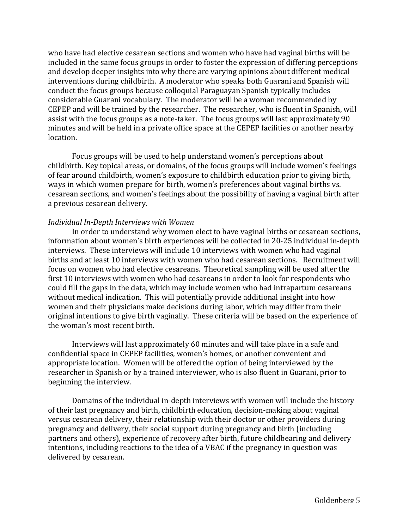who have had elective cesarean sections and women who have had vaginal births will be included in the same focus groups in order to foster the expression of differing perceptions and develop deeper insights into why there are varying opinions about different medical interventions during childbirth. A moderator who speaks both Guarani and Spanish will conduct the focus groups because colloquial Paraguayan Spanish typically includes considerable Guarani vocabulary. The moderator will be a woman recommended by CEPEP and will be trained by the researcher. The researcher, who is fluent in Spanish, will assist with the focus groups as a note-taker. The focus groups will last approximately 90 minutes and will be held in a private office space at the CEPEP facilities or another nearby location.

Focus groups will be used to help understand women's perceptions about childbirth. Key topical areas, or domains, of the focus groups will include women's feelings of fear around childbirth, women's exposure to childbirth education prior to giving birth, ways in which women prepare for birth, women's preferences about vaginal births vs. cesarean sections, and women's feelings about the possibility of having a vaginal birth after a previous cesarean delivery.

#### *Individual In-Depth Interviews with Women*

In order to understand why women elect to have vaginal births or cesarean sections, information about women's birth experiences will be collected in 20-25 individual in-depth interviews. These interviews will include 10 interviews with women who had vaginal births and at least 10 interviews with women who had cesarean sections. Recruitment will focus on women who had elective cesareans. Theoretical sampling will be used after the first 10 interviews with women who had cesareans in order to look for respondents who could fill the gaps in the data, which may include women who had intrapartum cesareans without medical indication. This will potentially provide additional insight into how women and their physicians make decisions during labor, which may differ from their original intentions to give birth vaginally. These criteria will be based on the experience of the woman's most recent birth.

Interviews will last approximately 60 minutes and will take place in a safe and confidential space in CEPEP facilities, women's homes, or another convenient and appropriate location. Women will be offered the option of being interviewed by the researcher in Spanish or by a trained interviewer, who is also fluent in Guarani, prior to beginning the interview.

Domains of the individual in-depth interviews with women will include the history of their last pregnancy and birth, childbirth education, decision-making about vaginal versus cesarean delivery, their relationship with their doctor or other providers during pregnancy and delivery, their social support during pregnancy and birth (including partners and others), experience of recovery after birth, future childbearing and delivery intentions, including reactions to the idea of a VBAC if the pregnancy in question was delivered by cesarean.